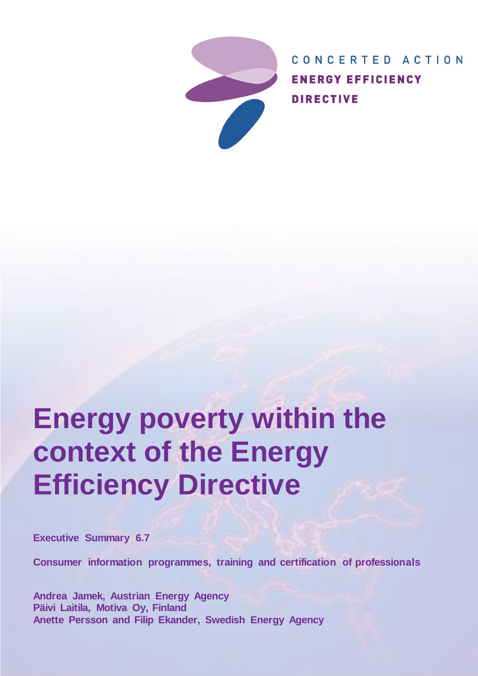

CONCERTED ACTION **ENERGY EFFICIENCY DIRECTIVE** 

# **Energy poverty within the context of the Energy Efficiency Directive**

**Executive Summary 6.7**

**Consumer information programmes, training and certification of professionals**

**Andrea Jamek, Austrian Energy Agency Päivi Laitila, Motiva Oy, Finland Anette Persson and Filip Ekander, Swedish Energy Agency**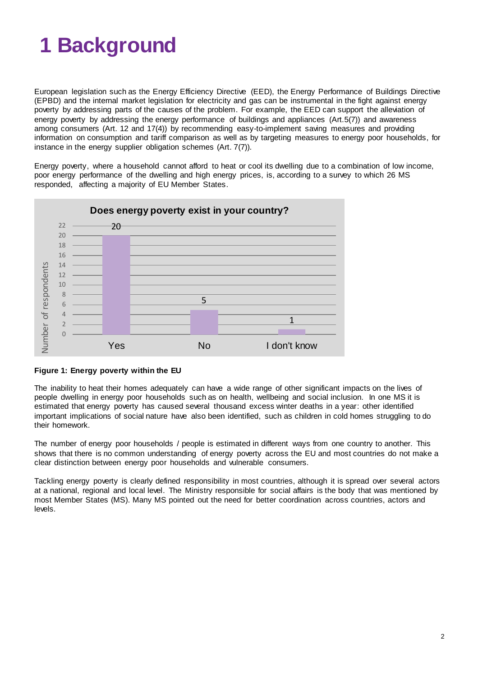# **1 Background**

European legislation such as the Energy Efficiency Directive (EED), the Energy Performance of Buildings Directive (EPBD) and the internal market legislation for electricity and gas can be instrumental in the fight against energy poverty by addressing parts of the causes of the problem. For example, the EED can support the alleviation of energy poverty by addressing the energy performance of buildings and appliances (Art.5(7)) and awareness among consumers (Art. 12 and 17(4)) by recommending easy-to-implement saving measures and providing information on consumption and tariff comparison as well as by targeting measures to energy poor households, for instance in the energy supplier obligation schemes (Art. 7(7)).

Energy poverty, where a household cannot afford to heat or cool its dwelling due to a combination of low income, poor energy performance of the dwelling and high energy prices, is, according to a survey to which 26 MS responded, affecting a majority of EU Member States.



## **Figure 1: Energy poverty within the EU**

The inability to heat their homes adequately can have a wide range of other significant impacts on the lives of people dwelling in energy poor households such as on health, wellbeing and social inclusion. In one MS it is estimated that energy poverty has caused several thousand excess winter deaths in a year: other identified important implications of social nature have also been identified, such as children in cold homes struggling to do their homework.

The number of energy poor households / people is estimated in different ways from one country to another. This shows that there is no common understanding of energy poverty across the EU and most countries do not make a clear distinction between energy poor households and vulnerable consumers.

Tackling energy poverty is clearly defined responsibility in most countries, although it is spread over several actors at a national, regional and local level. The Ministry responsible for social affairs is the body that was mentioned by most Member States (MS). Many MS pointed out the need for better coordination across countries, actors and levels.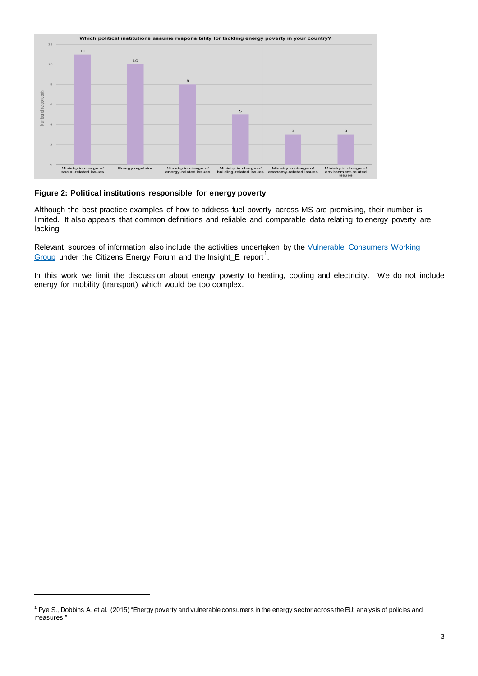

### **Figure 2: Political institutions responsible for energy poverty**

Although the best practice examples of how to address fuel poverty across MS are promising, their number is limited. It also appears that common definitions and reliable and comparable data relating to energy poverty are lacking.

Relevant sources of information also include the activities undertaken by the Vulnerable Consumers Working  $G$ roup under the Citizens Energy Forum and the Insight\_E report<sup>1</sup>.

In this work we limit the discussion about energy poverty to heating, cooling and electricity. We do not include energy for mobility (transport) which would be too complex.

<sup>&</sup>lt;sup>1</sup> Pye S., Dobbins A. et al. (2015) "Energy poverty and vulnerable consumers in the energy sector across the EU: analysis of policies and measures."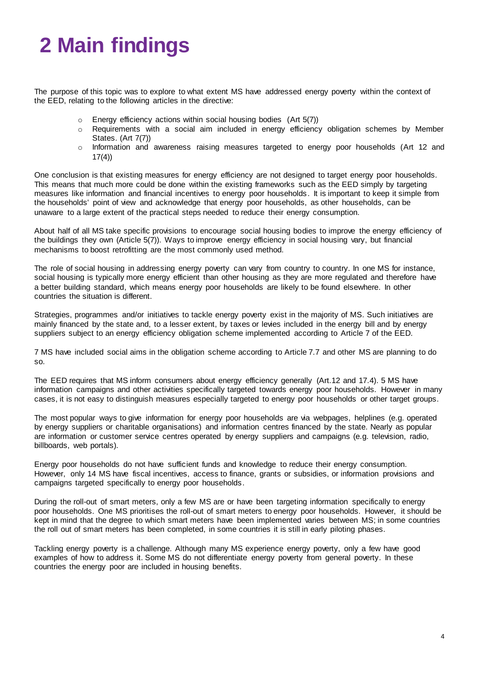# **2 Main findings**

The purpose of this topic was to explore to what extent MS have addressed energy poverty within the context of the EED, relating to the following articles in the directive:

- $\circ$  Energy efficiency actions within social housing bodies (Art 5(7))
- o Requirements with a social aim included in energy efficiency obligation schemes by Member States. (Art 7(7))
- $\circ$  Information and awareness raising measures targeted to energy poor households (Art 12 and 17(4))

One conclusion is that existing measures for energy efficiency are not designed to target energy poor households. This means that much more could be done within the existing frameworks such as the EED simply by targeting measures like information and financial incentives to energy poor households. It is important to keep it simple from the households' point of view and acknowledge that energy poor households, as other households, can be unaware to a large extent of the practical steps needed to reduce their energy consumption.

About half of all MS take specific provisions to encourage social housing bodies to improve the energy efficiency of the buildings they own (Article 5(7)). Ways to improve energy efficiency in social housing vary, but financial mechanisms to boost retrofitting are the most commonly used method.

The role of social housing in addressing energy poverty can vary from country to country. In one MS for instance, social housing is typically more energy efficient than other housing as they are more regulated and therefore have a better building standard, which means energy poor households are likely to be found elsewhere. In other countries the situation is different.

Strategies, programmes and/or initiatives to tackle energy poverty exist in the majority of MS. Such initiatives are mainly financed by the state and, to a lesser extent, by taxes or levies included in the energy bill and by energy suppliers subject to an energy efficiency obligation scheme implemented according to Article 7 of the EED.

7 MS have included social aims in the obligation scheme according to Article 7.7 and other MS are planning to do so.

The EED requires that MS inform consumers about energy efficiency generally (Art.12 and 17.4). 5 MS have information campaigns and other activities specifically targeted towards energy poor households. However in many cases, it is not easy to distinguish measures especially targeted to energy poor households or other target groups.

The most popular ways to give information for energy poor households are via webpages, helplines (e.g. operated by energy suppliers or charitable organisations) and information centres financed by the state. Nearly as popular are information or customer service centres operated by energy suppliers and campaigns (e.g. television, radio, billboards, web portals).

Energy poor households do not have sufficient funds and knowledge to reduce their energy consumption. However, only 14 MS have fiscal incentives, access to finance, grants or subsidies, or information provisions and campaigns targeted specifically to energy poor households.

During the roll-out of smart meters, only a few MS are or have been targeting information specifically to energy poor households. One MS prioritises the roll-out of smart meters to energy poor households. However, it should be kept in mind that the degree to which smart meters have been implemented varies between MS; in some countries the roll out of smart meters has been completed, in some countries it is still in early piloting phases.

Tackling energy poverty is a challenge. Although many MS experience energy poverty, only a few have good examples of how to address it. Some MS do not differentiate energy poverty from general poverty. In these countries the energy poor are included in housing benefits.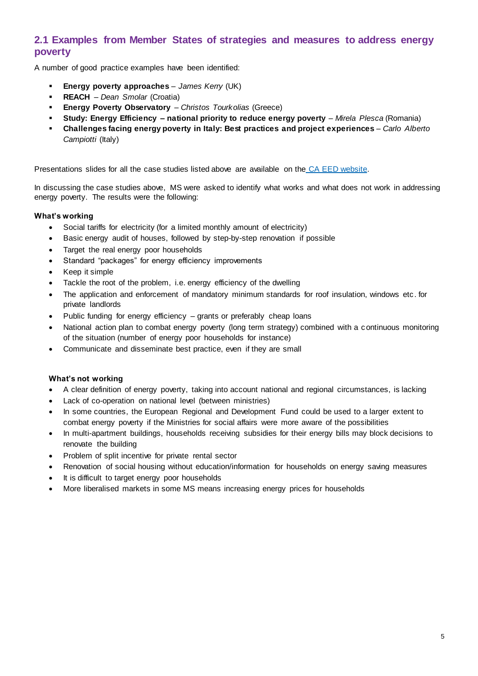# **2.1 Examples from Member States of strategies and measures to address energy poverty**

A number of good practice examples have been identified:

- **Energy poverty approaches** *James Kerry* (UK)
- **REACH** *Dean Smolar* (Croatia)
- **Energy Poverty Observatory** *Christos Tourkolias* (Greece)
- **Study: Energy Efficiency – national priority to reduce energy poverty** *Mirela Plesca* (Romania)
- **Challenges facing energy poverty in Italy: Best practices and project experiences**  *Carlo Alberto Campiotti* (Italy)

Presentations slides for all the case studies listed above are available on the [CA EED website.](http://www.ca-eed.eu/themes/consumer-information-ct6)

In discussing the case studies above, MS were asked to identify what works and what does not work in addressing energy poverty. The results were the following:

### **What's working**

- Social tariffs for electricity (for a limited monthly amount of electricity)
- Basic energy audit of houses, followed by step-by-step renovation if possible
- Target the real energy poor households
- Standard "packages" for energy efficiency improvements
- Keep it simple
- Tackle the root of the problem, i.e. energy efficiency of the dwelling
- The application and enforcement of mandatory minimum standards for roof insulation, windows etc. for private landlords
- Public funding for energy efficiency grants or preferably cheap loans
- National action plan to combat energy poverty (long term strategy) combined with a continuous monitoring of the situation (number of energy poor households for instance)
- Communicate and disseminate best practice, even if they are small

### **What's not working**

- A clear definition of energy poverty, taking into account national and regional circumstances, is lacking
- Lack of co-operation on national level (between ministries)
- In some countries, the European Regional and Development Fund could be used to a larger extent to combat energy poverty if the Ministries for social affairs were more aware of the possibilities
- In multi-apartment buildings, households receiving subsidies for their energy bills may block decisions to renovate the building
- Problem of split incentive for private rental sector
- Renovation of social housing without education/information for households on energy saving measures
- It is difficult to target energy poor households
- More liberalised markets in some MS means increasing energy prices for households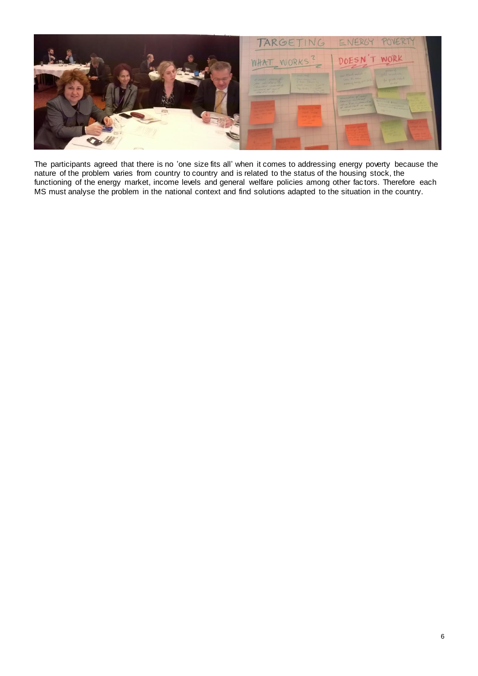

The participants agreed that there is no 'one size fits all' when it comes to addressing energy poverty because the nature of the problem varies from country to country and is related to the status of the housing stock, the functioning of the energy market, income levels and general welfare policies among other fac tors. Therefore each MS must analyse the problem in the national context and find solutions adapted to the situation in the country.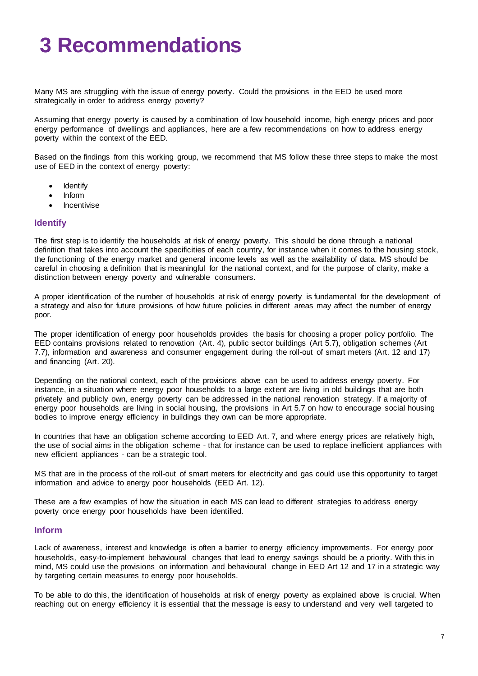# **3 Recommendations**

Many MS are struggling with the issue of energy poverty. Could the provisions in the EED be used more strategically in order to address energy poverty?

Assuming that energy poverty is caused by a combination of low household income, high energy prices and poor energy performance of dwellings and appliances, here are a few recommendations on how to address energy poverty within the context of the EED.

Based on the findings from this working group, we recommend that MS follow these three steps to make the most use of EED in the context of energy poverty:

- Identify
- Inform
- **Incentivise**

### **Identify**

The first step is to identify the households at risk of energy poverty. This should be done through a national definition that takes into account the specificities of each country, for instance when it comes to the housing stock, the functioning of the energy market and general income levels as well as the availability of data. MS should be careful in choosing a definition that is meaningful for the national context, and for the purpose of clarity, make a distinction between energy poverty and vulnerable consumers.

A proper identification of the number of households at risk of energy poverty is fundamental for the development of a strategy and also for future provisions of how future policies in different areas may affect the number of energy poor.

The proper identification of energy poor households provides the basis for choosing a proper policy portfolio. The EED contains provisions related to renovation (Art. 4), public sector buildings (Art 5.7), obligation schemes (Art 7.7), information and awareness and consumer engagement during the roll-out of smart meters (Art. 12 and 17) and financing (Art. 20).

Depending on the national context, each of the provisions above can be used to address energy poverty. For instance, in a situation where energy poor households to a large extent are living in old buildings that are both privately and publicly own, energy poverty can be addressed in the national renovation strategy. If a majority of energy poor households are living in social housing, the provisions in Art 5.7 on how to encourage social housing bodies to improve energy efficiency in buildings they own can be more appropriate.

In countries that have an obligation scheme according to EED Art. 7, and where energy prices are relatively high, the use of social aims in the obligation scheme - that for instance can be used to replace inefficient appliances with new efficient appliances - can be a strategic tool.

MS that are in the process of the roll-out of smart meters for electricity and gas could use this opportunity to target information and advice to energy poor households (EED Art. 12).

These are a few examples of how the situation in each MS can lead to different strategies to address energy poverty once energy poor households have been identified.

### **Inform**

Lack of awareness, interest and knowledge is often a barrier to energy efficiency improvements. For energy poor households, easy-to-implement behavioural changes that lead to energy savings should be a priority. With this in mind, MS could use the provisions on information and behavioural change in EED Art 12 and 17 in a strategic way by targeting certain measures to energy poor households.

To be able to do this, the identification of households at risk of energy poverty as explained above is crucial. When reaching out on energy efficiency it is essential that the message is easy to understand and very well targeted to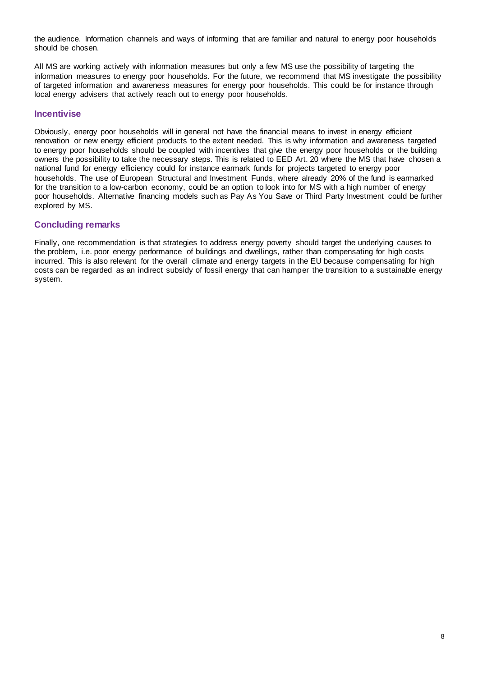the audience. Information channels and ways of informing that are familiar and natural to energy poor households should be chosen.

All MS are working actively with information measures but only a few MS use the possibility of targeting the information measures to energy poor households. For the future, we recommend that MS investigate the possibility of targeted information and awareness measures for energy poor households. This could be for instance through local energy advisers that actively reach out to energy poor households.

# **Incentivise**

Obviously, energy poor households will in general not have the financial means to invest in energy efficient renovation or new energy efficient products to the extent needed. This is why information and awareness targeted to energy poor households should be coupled with incentives that give the energy poor households or the building owners the possibility to take the necessary steps. This is related to EED Art. 20 where the MS that have chosen a national fund for energy efficiency could for instance earmark funds for projects targeted to energy poor households. The use of European Structural and Investment Funds, where already 20% of the fund is earmarked for the transition to a low-carbon economy, could be an option to look into for MS with a high number of energy poor households. Alternative financing models such as Pay As You Save or Third Party Investment could be further explored by MS.

## **Concluding remarks**

Finally, one recommendation is that strategies to address energy poverty should target the underlying causes to the problem, i.e. poor energy performance of buildings and dwellings, rather than compensating for high costs incurred. This is also relevant for the overall climate and energy targets in the EU because compensating for high costs can be regarded as an indirect subsidy of fossil energy that can hamper the transition to a sustainable energy system.